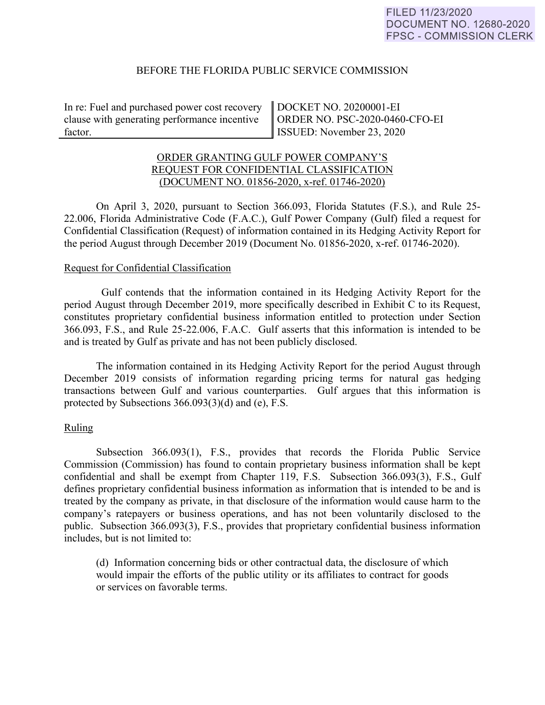## BEFORE THE FLORIDA PUBLIC SERVICE COMMISSION

In re: Fuel and purchased power cost recovery clause with generating performance incentive factor.

DOCKET NO. 20200001-EI ORDER NO. PSC-2020-0460-CFO-EI ISSUED: November 23, 2020

## ORDER GRANTING GULF POWER COMPANY'S REQUEST FOR CONFIDENTIAL CLASSIFICATION (DOCUMENT NO. 01856-2020, x-ref. 01746-2020)

On April 3, 2020, pursuant to Section 366.093, Florida Statutes (F.S.), and Rule 25- 22.006, Florida Administrative Code (F.A.C.), Gulf Power Company (Gulf) filed a request for Confidential Classification (Request) of information contained in its Hedging Activity Report for the period August through December 2019 (Document No. 01856-2020, x-ref. 01746-2020).

## Request for Confidential Classification

 Gulf contends that the information contained in its Hedging Activity Report for the period August through December 2019, more specifically described in Exhibit C to its Request, constitutes proprietary confidential business information entitled to protection under Section 366.093, F.S., and Rule 25-22.006, F.A.C. Gulf asserts that this information is intended to be and is treated by Gulf as private and has not been publicly disclosed.

The information contained in its Hedging Activity Report for the period August through December 2019 consists of information regarding pricing terms for natural gas hedging transactions between Gulf and various counterparties. Gulf argues that this information is protected by Subsections 366.093(3)(d) and (e), F.S.

# Ruling

Subsection 366.093(1), F.S., provides that records the Florida Public Service Commission (Commission) has found to contain proprietary business information shall be kept confidential and shall be exempt from Chapter 119, F.S. Subsection 366.093(3), F.S., Gulf defines proprietary confidential business information as information that is intended to be and is treated by the company as private, in that disclosure of the information would cause harm to the company's ratepayers or business operations, and has not been voluntarily disclosed to the public. Subsection 366.093(3), F.S., provides that proprietary confidential business information includes, but is not limited to:

(d) Information concerning bids or other contractual data, the disclosure of which would impair the efforts of the public utility or its affiliates to contract for goods or services on favorable terms.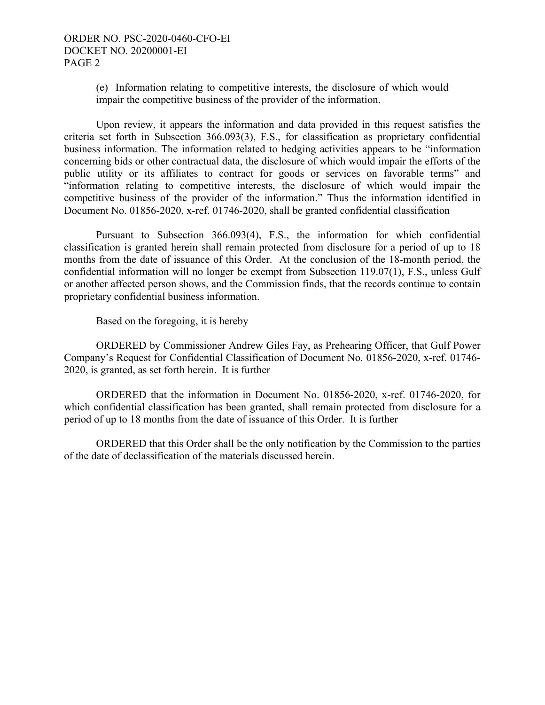(e) Information relating to competitive interests, the disclosure of which would impair the competitive business of the provider of the information.

Upon review, it appears the information and data provided in this request satisfies the criteria set forth in Subsection 366.093(3), F.S., for classification as proprietary confidential business information. The information related to hedging activities appears to be "information concerning bids or other contractual data, the disclosure of which would impair the efforts of the public utility or its affiliates to contract for goods or services on favorable terms" and "information relating to competitive interests, the disclosure of which would impair the competitive business of the provider of the information." Thus the information identified in Document No. 01856-2020, x-ref. 01746-2020, shall be granted confidential classification

Pursuant to Subsection 366.093(4), F.S., the information for which confidential classification is granted herein shall remain protected from disclosure for a period of up to 18 months from the date of issuance of this Order. At the conclusion of the 18-month period, the confidential information will no longer be exempt from Subsection 119.07(1), F.S., unless Gulf or another affected person shows, and the Commission finds, that the records continue to contain proprietary confidential business information.

Based on the foregoing, it is hereby

 ORDERED by Commissioner Andrew Giles Fay, as Prehearing Officer, that Gulf Power Company's Request for Confidential Classification of Document No. 01856-2020, x-ref. 01746- 2020, is granted, as set forth herein. It is further

ORDERED that the information in Document No. 01856-2020, x-ref. 01746-2020, for which confidential classification has been granted, shall remain protected from disclosure for a period of up to 18 months from the date of issuance of this Order. It is further

ORDERED that this Order shall be the only notification by the Commission to the parties of the date of declassification of the materials discussed herein.